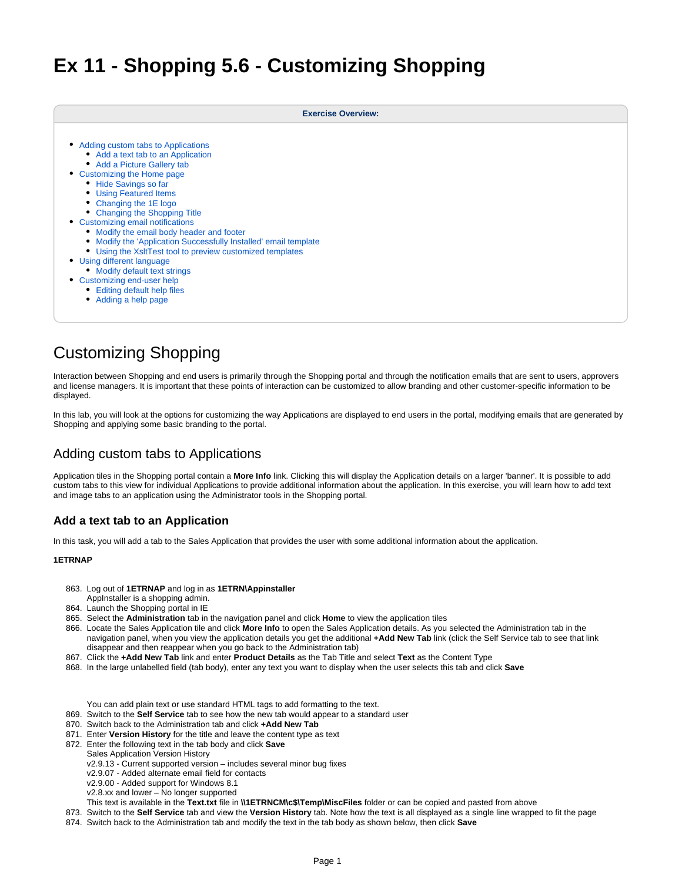# **Ex 11 - Shopping 5.6 - Customizing Shopping**

| <b>Exercise Overview:</b>                                        |  |  |
|------------------------------------------------------------------|--|--|
| • Adding custom tabs to Applications                             |  |  |
| • Add a text tab to an Application                               |  |  |
| • Add a Picture Gallery tab                                      |  |  |
| • Customizing the Home page                                      |  |  |
| • Hide Savings so far<br>• Using Featured Items                  |  |  |
| • Changing the 1E logo                                           |  |  |
| • Changing the Shopping Title                                    |  |  |
| • Customizing email notifications                                |  |  |
| • Modify the email body header and footer                        |  |  |
| • Modify the 'Application Successfully Installed' email template |  |  |
| • Using the XsItTest tool to preview customized templates        |  |  |
| • Using different language                                       |  |  |
| • Modify default text strings                                    |  |  |
| • Customizing end-user help                                      |  |  |
| • Editing default help files                                     |  |  |
| • Adding a help page                                             |  |  |

# Customizing Shopping

Interaction between Shopping and end users is primarily through the Shopping portal and through the notification emails that are sent to users, approvers and license managers. It is important that these points of interaction can be customized to allow branding and other customer-specific information to be displayed.

In this lab, you will look at the options for customizing the way Applications are displayed to end users in the portal, modifying emails that are generated by Shopping and applying some basic branding to the portal.

# <span id="page-0-0"></span>Adding custom tabs to Applications

Application tiles in the Shopping portal contain a **More Info** link. Clicking this will display the Application details on a larger 'banner'. It is possible to add custom tabs to this view for individual Applications to provide additional information about the application. In this exercise, you will learn how to add text and image tabs to an application using the Administrator tools in the Shopping portal.

# <span id="page-0-1"></span>**Add a text tab to an Application**

In this task, you will add a tab to the Sales Application that provides the user with some additional information about the application.

## **1ETRNAP**

863. Log out of **1ETRNAP** and log in as **1ETRN\Appinstaller**

- AppInstaller is a shopping admin.
- 864. Launch the Shopping portal in IE
- 865. Select the **Administration** tab in the navigation panel and click **Home** to view the application tiles
- 866. Locate the Sales Application tile and click **More Info** to open the Sales Application details. As you selected the Administration tab in the navigation panel, when you view the application details you get the additional **+Add New Tab** link (click the Self Service tab to see that link disappear and then reappear when you go back to the Administration tab)
- 867. Click the **+Add New Tab** link and enter **Product Details** as the Tab Title and select **Text** as the Content Type
- 868. In the large unlabelled field (tab body), enter any text you want to display when the user selects this tab and click **Save**
	- You can add plain text or use standard HTML tags to add formatting to the text.
- 869. Switch to the **Self Service** tab to see how the new tab would appear to a standard user
- 870. Switch back to the Administration tab and click **+Add New Tab**
- 871. Enter **Version History** for the title and leave the content type as text
- 872. Enter the following text in the tab body and click **Save**
	- Sales Application Version History
	- v2.9.13 Current supported version includes several minor bug fixes
	- v2.9.07 Added alternate email field for contacts
	- v2.9.00 Added support for Windows 8.1
	- v2.8.xx and lower No longer supported
	- This text is available in the **Text.txt** file in **\\1ETRNCM\c\$\Temp\MiscFiles** folder or can be copied and pasted from above
- 873. Switch to the **Self Service** tab and view the **Version History** tab. Note how the text is all displayed as a single line wrapped to fit the page
- 874. Switch back to the Administration tab and modify the text in the tab body as shown below, then click **Save**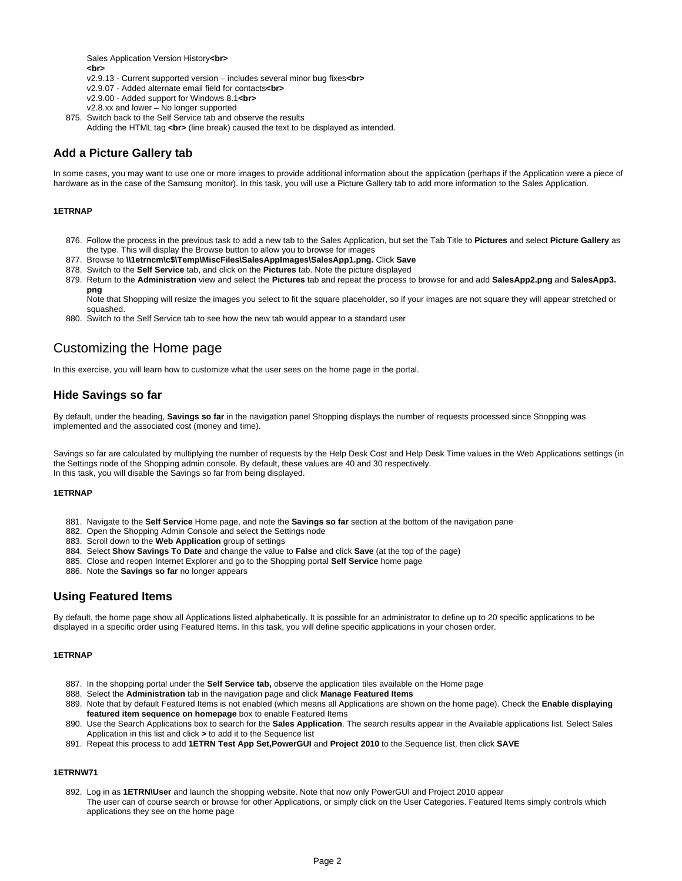Sales Application Version History**<br> <br>**

- v2.9.13 Current supported version includes several minor bug fixes**<br>**
- v2.9.07 Added alternate email field for contacts**<br>**
- v2.9.00 Added support for Windows 8.1**<br>**
- v2.8.xx and lower No longer supported
- 875. Switch back to the Self Service tab and observe the results
	- Adding the HTML tag <br>>br> (line break) caused the text to be displayed as intended.

## <span id="page-1-0"></span>**Add a Picture Gallery tab**

In some cases, you may want to use one or more images to provide additional information about the application (perhaps if the Application were a piece of hardware as in the case of the Samsung monitor). In this task, you will use a Picture Gallery tab to add more information to the Sales Application.

#### **1ETRNAP**

- 876. Follow the process in the previous task to add a new tab to the Sales Application, but set the Tab Title to **Pictures** and select **Picture Gallery** as the type. This will display the Browse button to allow you to browse for images
- 877. Browse to **\\1etrncm\c\$\Temp\MiscFiles\SalesAppImages\SalesApp1.png.** Click **Save**
- 878. Switch to the **Self Service** tab, and click on the **Pictures** tab. Note the picture displayed
- 879. Return to the **Administration** view and select the **Pictures** tab and repeat the process to browse for and add **SalesApp2.png** and **SalesApp3. png**

Note that Shopping will resize the images you select to fit the square placeholder, so if your images are not square they will appear stretched or squashed.

880. Switch to the Self Service tab to see how the new tab would appear to a standard user

# <span id="page-1-1"></span>Customizing the Home page

In this exercise, you will learn how to customize what the user sees on the home page in the portal.

## <span id="page-1-2"></span>**Hide Savings so far**

By default, under the heading, **Savings so far** in the navigation panel Shopping displays the number of requests processed since Shopping was implemented and the associated cost (money and time).

Savings so far are calculated by multiplying the number of requests by the Help Desk Cost and Help Desk Time values in the Web Applications settings (in the Settings node of the Shopping admin console. By default, these values are 40 and 30 respectively. In this task, you will disable the Savings so far from being displayed.

#### **1ETRNAP**

- 881. Navigate to the **Self Service** Home page, and note the **Savings so far** section at the bottom of the navigation pane
- 882. Open the Shopping Admin Console and select the Settings node
- 883. Scroll down to the **Web Application** group of settings
- 884. Select **Show Savings To Date** and change the value to **False** and click **Save** (at the top of the page)
- 885. Close and reopen Internet Explorer and go to the Shopping portal **Self Service** home page
- 886. Note the **Savings so far** no longer appears

## <span id="page-1-3"></span>**Using Featured Items**

By default, the home page show all Applications listed alphabetically. It is possible for an administrator to define up to 20 specific applications to be displayed in a specific order using Featured Items. In this task, you will define specific applications in your chosen order.

#### **1ETRNAP**

- 887. In the shopping portal under the **Self Service tab,** observe the application tiles available on the Home page
- 888. Select the **Administration** tab in the navigation page and click **Manage Featured Items**
- 889. Note that by default Featured Items is not enabled (which means all Applications are shown on the home page). Check the **Enable displaying featured item sequence on homepage** box to enable Featured Items
- 890. Use the Search Applications box to search for the **Sales Application**. The search results appear in the Available applications list. Select Sales Application in this list and click **>** to add it to the Sequence list
- 891. Repeat this process to add **1ETRN Test App Set,PowerGUI** and **Project 2010** to the Sequence list, then click **SAVE**

## **1ETRNW71**

892. Log in as **1ETRN\User** and launch the shopping website. Note that now only PowerGUI and Project 2010 appear The user can of course search or browse for other Applications, or simply click on the User Categories. Featured Items simply controls which applications they see on the home page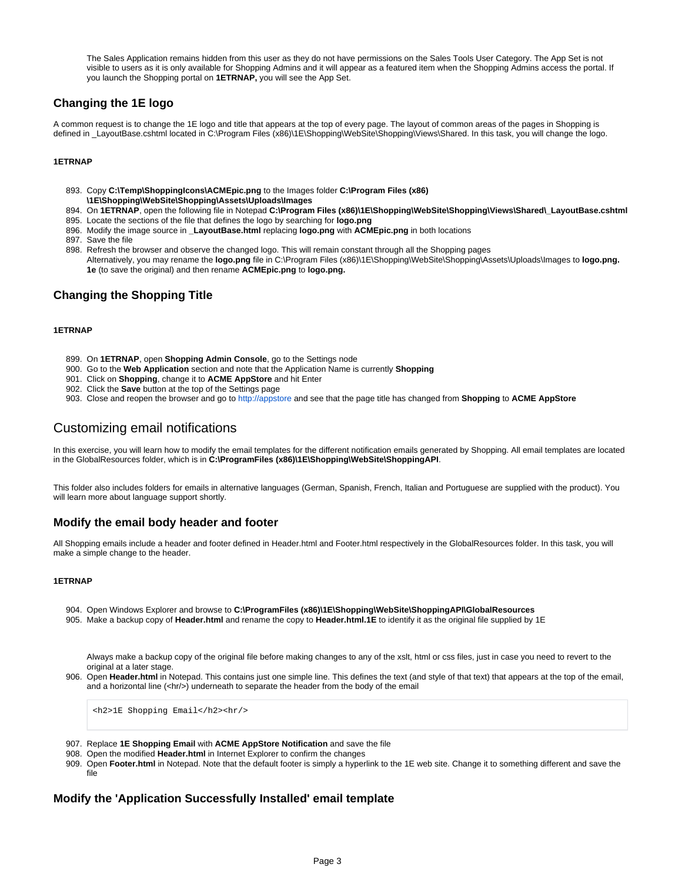The Sales Application remains hidden from this user as they do not have permissions on the Sales Tools User Category. The App Set is not visible to users as it is only available for Shopping Admins and it will appear as a featured item when the Shopping Admins access the portal. If you launch the Shopping portal on **1ETRNAP,** you will see the App Set.

# <span id="page-2-0"></span>**Changing the 1E logo**

A common request is to change the 1E logo and title that appears at the top of every page. The layout of common areas of the pages in Shopping is defined in \_LayoutBase.cshtml located in C:\Program Files (x86)\1E\Shopping\WebSite\Shopping\Views\Shared. In this task, you will change the logo.

## **1ETRNAP**

- 893. Copy **C:\Temp\ShoppingIcons\ACMEpic.png** to the Images folder **C:\Program Files (x86) \1E\Shopping\WebSite\Shopping\Assets\Uploads\Images**
- 894. On **1ETRNAP**, open the following file in Notepad **C:\Program Files (x86)\1E\Shopping\WebSite\Shopping\Views\Shared\\_LayoutBase.cshtml**
- 895. Locate the sections of the file that defines the logo by searching for **logo.png**
- 896. Modify the image source in **\_LayoutBase.html** replacing **logo.png** with **ACMEpic.png** in both locations
- 897. Save the file
- 898. Refresh the browser and observe the changed logo. This will remain constant through all the Shopping pages Alternatively, you may rename the **logo.png** file in C:\Program Files (x86)\1E\Shopping\WebSite\Shopping\Assets\Uploads\Images to **logo.png. 1e** (to save the original) and then rename **ACMEpic.png** to **logo.png.**

## <span id="page-2-1"></span>**Changing the Shopping Title**

#### **1ETRNAP**

- 899. On **1ETRNAP**, open **Shopping Admin Console**, go to the Settings node
- 900. Go to the **Web Application** section and note that the Application Name is currently **Shopping**
- 901. Click on **Shopping**, change it to **ACME AppStore** and hit Enter
- 902. Click the **Save** button at the top of the Settings page
- 903. Close and reopen the browser and go to [http://appstore](http://appstore%2A/) and see that the page title has changed from **Shopping** to **ACME AppStore**

# <span id="page-2-2"></span>Customizing email notifications

In this exercise, you will learn how to modify the email templates for the different notification emails generated by Shopping. All email templates are located in the GlobalResources folder, which is in **C:\ProgramFiles (x86)\1E\Shopping\WebSite\ShoppingAPI**.

This folder also includes folders for emails in alternative languages (German, Spanish, French, Italian and Portuguese are supplied with the product). You will learn more about language support shortly.

## <span id="page-2-3"></span>**Modify the email body header and footer**

All Shopping emails include a header and footer defined in Header.html and Footer.html respectively in the GlobalResources folder. In this task, you will make a simple change to the header.

#### **1ETRNAP**

- 904. Open Windows Explorer and browse to **C:\ProgramFiles (x86)\1E\Shopping\WebSite\ShoppingAPI\GlobalResources**
- 905. Make a backup copy of **Header.html** and rename the copy to **Header.html.1E** to identify it as the original file supplied by 1E

Always make a backup copy of the original file before making changes to any of the xslt, html or css files, just in case you need to revert to the original at a later stage.

906. Open Header.html in Notepad. This contains just one simple line. This defines the text (and style of that text) that appears at the top of the email, and a horizontal line (<hr/>h/>) underneath to separate the header from the body of the email

<h2>1E Shopping Email</h2><hr/>

- 907. Replace **1E Shopping Email** with **ACME AppStore Notification** and save the file
- 908. Open the modified **Header.html** in Internet Explorer to confirm the changes
- 909. Open Footer.html in Notepad. Note that the default footer is simply a hyperlink to the 1E web site. Change it to something different and save the file

## <span id="page-2-4"></span>**Modify the 'Application Successfully Installed' email template**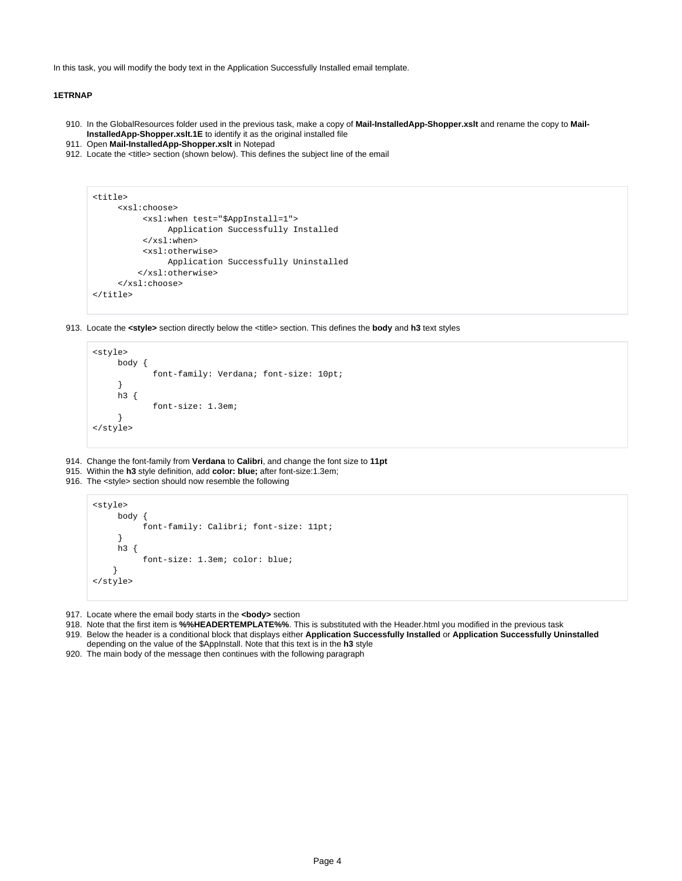In this task, you will modify the body text in the Application Successfully Installed email template.

#### **1ETRNAP**

- 910. In the GlobalResources folder used in the previous task, make a copy of **Mail-InstalledApp-Shopper.xslt** and rename the copy to **Mail-InstalledApp-Shopper.xslt.1E** to identify it as the original installed file
- 911. Open **Mail-InstalledApp-Shopper.xslt** in Notepad
- 912. Locate the <title> section (shown below). This defines the subject line of the email

```
<title>
      <xsl:choose>
           <xsl:when test="$AppInstall=1">
                Application Successfully Installed
           </xsl:when>
           <xsl:otherwise>
                Application Successfully Uninstalled
          </xsl:otherwise>
      </xsl:choose>
</title>
```
913. Locate the **<style>** section directly below the <title> section. This defines the **body** and **h3** text styles

```
<style>
      body {
              font-family: Verdana; font-size: 10pt;
      }
      h3 {
              font-size: 1.3em;
      }
</style>
```
- 914. Change the font-family from **Verdana** to **Calibri**, and change the font size to **11pt**
- 915. Within the **h3** style definition, add **color: blue;** after font-size:1.3em;
- 916. The <style> section should now resemble the following

```
<style>
      body {
            font-family: Calibri; font-size: 11pt;
      }
      h3 {
            font-size: 1.3em; color: blue;
     }
</style>
```
- 917. Locate where the email body starts in the <body> section
- 918. Note that the first item is **%%HEADERTEMPLATE%%**. This is substituted with the Header.html you modified in the previous task
- 919. Below the header is a conditional block that displays either **Application Successfully Installed** or **Application Successfully Uninstalled**
- 920. The main body of the message then continues with the following paragraphdepending on the value of the \$AppInstall. Note that this text is in the **h3** style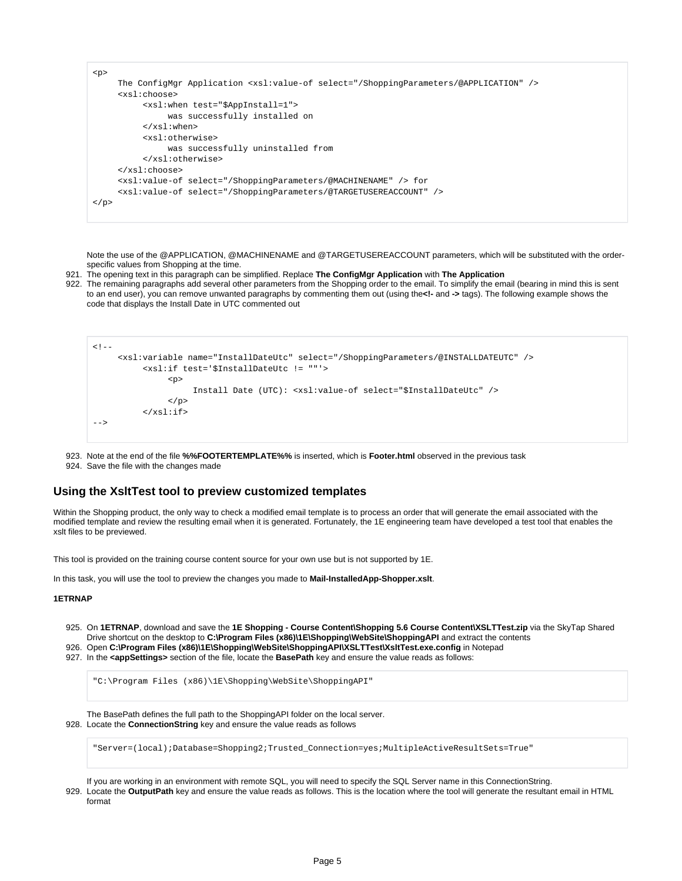```
<p>
      The ConfigMgr Application <xsl:value-of select="/ShoppingParameters/@APPLICATION" />
      <xsl:choose>
           <xsl:when test="$AppInstall=1">
                was successfully installed on
           </xsl:when>
           <xsl:otherwise>
                was successfully uninstalled from
           </xsl:otherwise>
      </xsl:choose>
      <xsl:value-of select="/ShoppingParameters/@MACHINENAME" /> for 
      <xsl:value-of select="/ShoppingParameters/@TARGETUSEREACCOUNT" />
\langle/p>
```
Note the use of the @APPLICATION, @MACHINENAME and @TARGETUSEREACCOUNT parameters, which will be substituted with the orderspecific values from Shopping at the time.

921. The opening text in this paragraph can be simplified. Replace **The ConfigMgr Application** with **The Application**

922. The remaining paragraphs add several other parameters from the Shopping order to the email. To simplify the email (bearing in mind this is sent to an end user), you can remove unwanted paragraphs by commenting them out (using the**<!-** and **->** tags). The following example shows the code that displays the Install Date in UTC commented out

```
< 1 - - <xsl:variable name="InstallDateUtc" select="/ShoppingParameters/@INSTALLDATEUTC" />
            <xsl:if test='$InstallDateUtc != ""'>
                 <p>
                       Install Date (UTC): <xsl:value-of select="$InstallDateUtc" />
                \langle/p>
           \langle xsl:if>
-->
```
923. Note at the end of the file **%%FOOTERTEMPLATE%%** is inserted, which is **Footer.html** observed in the previous task

924. Save the file with the changes made

#### <span id="page-4-0"></span>**Using the XsltTest tool to preview customized templates**

Within the Shopping product, the only way to check a modified email template is to process an order that will generate the email associated with the modified template and review the resulting email when it is generated. Fortunately, the 1E engineering team have developed a test tool that enables the xslt files to be previewed.

This tool is provided on the training course content source for your own use but is not supported by 1E.

In this task, you will use the tool to preview the changes you made to **Mail-InstalledApp-Shopper.xslt**.

#### **1ETRNAP**

- 925. On **1ETRNAP**, download and save the **1E Shopping Course Content\Shopping 5.6 Course Content\XSLTTest.zip** via the SkyTap Shared Drive shortcut on the desktop to **C:\Program Files (x86)\1E\Shopping\WebSite\ShoppingAPI** and extract the contents
- 926. Open **C:\Program Files (x86)\1E\Shopping\WebSite\ShoppingAPI\XSLTTest\XsltTest.exe.config** in Notepad

927. In the **<appSettings>** section of the file, locate the **BasePath** key and ensure the value reads as follows:

"C:\Program Files (x86)\1E\Shopping\WebSite\ShoppingAPI"

928. Locate the **ConnectionString** key and ensure the value reads as follows The BasePath defines the full path to the ShoppingAPI folder on the local server.

"Server=(local);Database=Shopping2;Trusted\_Connection=yes;MultipleActiveResultSets=True"

If you are working in an environment with remote SQL, you will need to specify the SQL Server name in this ConnectionString.

929. Locate the OutputPath key and ensure the value reads as follows. This is the location where the tool will generate the resultant email in HTML format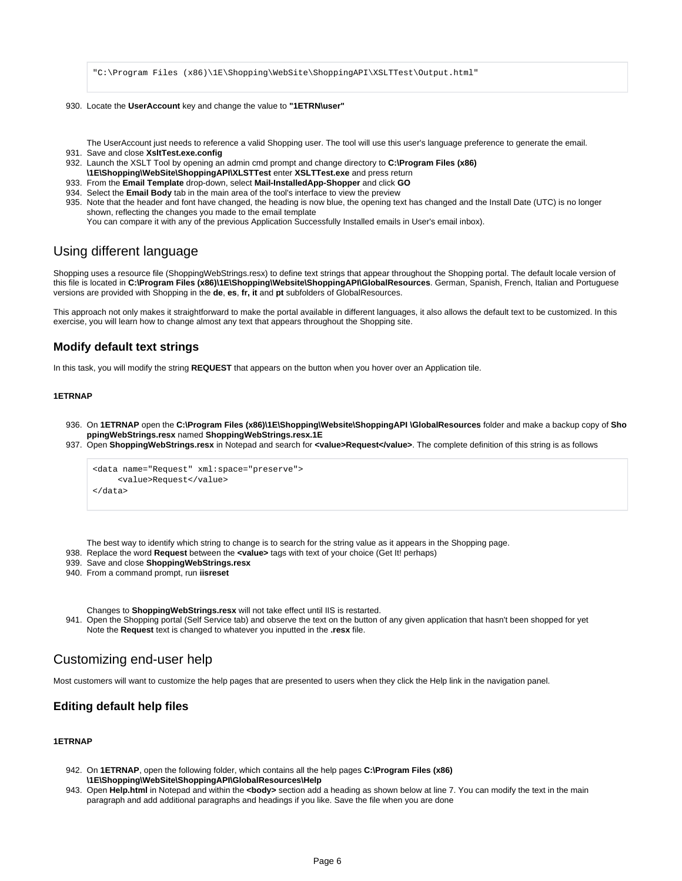"C:\Program Files (x86)\1E\Shopping\WebSite\ShoppingAPI\XSLTTest\Output.html"

930. Locate the **UserAccount** key and change the value to **"1ETRN\user"**

The UserAccount just needs to reference a valid Shopping user. The tool will use this user's language preference to generate the email.

- 931. Save and close **XsltTest.exe.config**
- 932. Launch the XSLT Tool by opening an admin cmd prompt and change directory to **C:\Program Files (x86)**
- **\1E\Shopping\WebSite\ShoppingAPI\XLSTTest** enter **XSLTTest.exe** and press return
- 933. From the **Email Template** drop-down, select **Mail-InstalledApp-Shopper** and click **GO**
- 934. Select the **Email Body** tab in the main area of the tool's interface to view the preview
- 935. Note that the header and font have changed, the heading is now blue, the opening text has changed and the Install Date (UTC) is no longer shown, reflecting the changes you made to the email template
	- You can compare it with any of the previous Application Successfully Installed emails in User's email inbox).

# <span id="page-5-0"></span>Using different language

Shopping uses a resource file (ShoppingWebStrings.resx) to define text strings that appear throughout the Shopping portal. The default locale version of this file is located in **C:\Program Files (x86)\1E\Shopping\Website\ShoppingAPI\GlobalResources**. German, Spanish, French, Italian and Portuguese versions are provided with Shopping in the **de**, **es**, **fr, it** and **pt** subfolders of GlobalResources.

This approach not only makes it straightforward to make the portal available in different languages, it also allows the default text to be customized. In this exercise, you will learn how to change almost any text that appears throughout the Shopping site.

## <span id="page-5-1"></span>**Modify default text strings**

In this task, you will modify the string **REQUEST** that appears on the button when you hover over an Application tile.

#### **1ETRNAP**

- 936. On **1ETRNAP** open the **C:\Program Files (x86)\1E\Shopping\Website\ShoppingAPI \GlobalResources** folder and make a backup copy of **Sho ppingWebStrings.resx** named **ShoppingWebStrings.resx.1E**
- 937. Open **ShoppingWebStrings.resx** in Notepad and search for **<value>Request</value>**. The complete definition of this string is as follows

```
<data name="Request" xml:space="preserve">
     <value>Request</value>
</data>
```
The best way to identify which string to change is to search for the string value as it appears in the Shopping page.

- 938. Replace the word **Request** between the **<value>** tags with text of your choice (Get It! perhaps)
- 939. Save and close **ShoppingWebStrings.resx**
- 940. From a command prompt, run **iisreset**

Changes to **ShoppingWebStrings.resx** will not take effect until IIS is restarted.

941. Open the Shopping portal (Self Service tab) and observe the text on the button of any given application that hasn't been shopped for yet Note the **Request** text is changed to whatever you inputted in the **.resx** file.

# <span id="page-5-2"></span>Customizing end-user help

Most customers will want to customize the help pages that are presented to users when they click the Help link in the navigation panel.

## <span id="page-5-3"></span>**Editing default help files**

## **1ETRNAP**

- 942. On **1ETRNAP**, open the following folder, which contains all the help pages **C:\Program Files (x86) \1E\Shopping\WebSite\ShoppingAPI\GlobalResources\Help**
- 943. Open Help.html in Notepad and within the <body> section add a heading as shown below at line 7. You can modify the text in the main paragraph and add additional paragraphs and headings if you like. Save the file when you are done